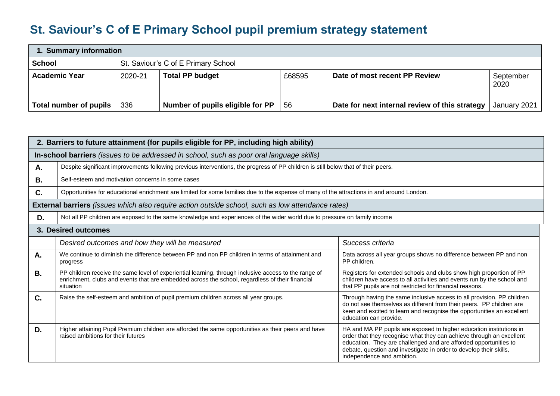## **St. Saviour's C of E Primary School pupil premium strategy statement**

| 1. Summary information |                                     |                                  |        |                                                |                   |  |  |
|------------------------|-------------------------------------|----------------------------------|--------|------------------------------------------------|-------------------|--|--|
| <b>School</b>          | St. Saviour's C of E Primary School |                                  |        |                                                |                   |  |  |
| <b>Academic Year</b>   | 2020-21                             | <b>Total PP budget</b>           | £68595 | Date of most recent PP Review                  | September<br>2020 |  |  |
| Total number of pupils | 336                                 | Number of pupils eligible for PP | -56    | Date for next internal review of this strategy | January 2021      |  |  |

| 2. Barriers to future attainment (for pupils eligible for PP, including high ability)    |                                                                                                                                                                                                                                                                                                                                                                                                                                     |                                                                                                                                                                                                                                                                                                                     |  |  |  |  |  |
|------------------------------------------------------------------------------------------|-------------------------------------------------------------------------------------------------------------------------------------------------------------------------------------------------------------------------------------------------------------------------------------------------------------------------------------------------------------------------------------------------------------------------------------|---------------------------------------------------------------------------------------------------------------------------------------------------------------------------------------------------------------------------------------------------------------------------------------------------------------------|--|--|--|--|--|
| In-school barriers (issues to be addressed in school, such as poor oral language skills) |                                                                                                                                                                                                                                                                                                                                                                                                                                     |                                                                                                                                                                                                                                                                                                                     |  |  |  |  |  |
| А.                                                                                       | Despite significant improvements following previous interventions, the progress of PP children is still below that of their peers.                                                                                                                                                                                                                                                                                                  |                                                                                                                                                                                                                                                                                                                     |  |  |  |  |  |
| <b>B.</b>                                                                                | Self-esteem and motivation concerns in some cases                                                                                                                                                                                                                                                                                                                                                                                   |                                                                                                                                                                                                                                                                                                                     |  |  |  |  |  |
| $C_{\cdot}$                                                                              | Opportunities for educational enrichment are limited for some families due to the expense of many of the attractions in and around London.                                                                                                                                                                                                                                                                                          |                                                                                                                                                                                                                                                                                                                     |  |  |  |  |  |
|                                                                                          | <b>External barriers</b> (issues which also require action outside school, such as low attendance rates)                                                                                                                                                                                                                                                                                                                            |                                                                                                                                                                                                                                                                                                                     |  |  |  |  |  |
| D.                                                                                       | Not all PP children are exposed to the same knowledge and experiences of the wider world due to pressure on family income                                                                                                                                                                                                                                                                                                           |                                                                                                                                                                                                                                                                                                                     |  |  |  |  |  |
| 3. Desired outcomes                                                                      |                                                                                                                                                                                                                                                                                                                                                                                                                                     |                                                                                                                                                                                                                                                                                                                     |  |  |  |  |  |
|                                                                                          | Desired outcomes and how they will be measured                                                                                                                                                                                                                                                                                                                                                                                      | Success criteria                                                                                                                                                                                                                                                                                                    |  |  |  |  |  |
| А.                                                                                       | We continue to diminish the difference between PP and non PP children in terms of attainment and<br>Data across all year groups shows no difference between PP and non<br>PP children.<br>progress                                                                                                                                                                                                                                  |                                                                                                                                                                                                                                                                                                                     |  |  |  |  |  |
| <b>B.</b>                                                                                | PP children receive the same level of experiential learning, through inclusive access to the range of<br>Registers for extended schools and clubs show high proportion of PP<br>enrichment, clubs and events that are embedded across the school, regardless of their financial<br>children have access to all activities and events run by the school and<br>that PP pupils are not restricted for financial reasons.<br>situation |                                                                                                                                                                                                                                                                                                                     |  |  |  |  |  |
| C.                                                                                       | Raise the self-esteem and ambition of pupil premium children across all year groups.<br>Through having the same inclusive access to all provision, PP children<br>do not see themselves as different from their peers. PP children are<br>keen and excited to learn and recognise the opportunities an excellent<br>education can provide.                                                                                          |                                                                                                                                                                                                                                                                                                                     |  |  |  |  |  |
| D.                                                                                       | Higher attaining Pupil Premium children are afforded the same opportunities as their peers and have<br>raised ambitions for their futures                                                                                                                                                                                                                                                                                           | HA and MA PP pupils are exposed to higher education institutions in<br>order that they recognise what they can achieve through an excellent<br>education. They are challenged and are afforded opportunities to<br>debate, question and investigate in order to develop their skills,<br>independence and ambition. |  |  |  |  |  |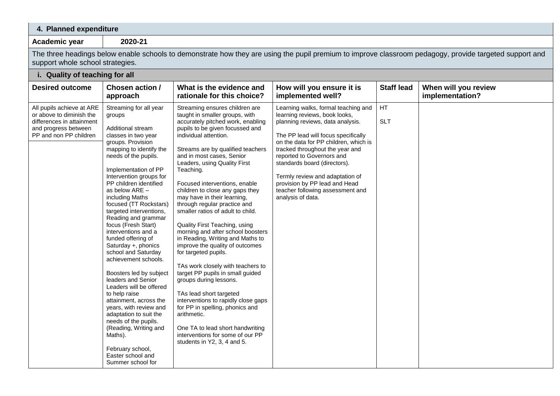## **4. Planned expenditure**

**Academic year 2020-21**

The three headings below enable schools to demonstrate how they are using the pupil premium to improve classroom pedagogy, provide targeted support and support whole school strategies.

## **i. Quality of teaching for all**

| <b>Desired outcome</b>                                                                                                               | <b>Chosen action /</b><br>approach                                                                                                                                                                                                                                                                                                                                                                                                                                                                                                                                                                                                                                                                                                                                                                | What is the evidence and<br>rationale for this choice?                                                                                                                                                                                                                                                                                                                                                                                                                                                                                                                                                                                                                                                                                                                                                                                                                                                                                                      | How will you ensure it is<br>implemented well?                                                                                                                                                                                                                                                                                                                                                                        | <b>Staff lead</b> | When will you review<br>implementation? |
|--------------------------------------------------------------------------------------------------------------------------------------|---------------------------------------------------------------------------------------------------------------------------------------------------------------------------------------------------------------------------------------------------------------------------------------------------------------------------------------------------------------------------------------------------------------------------------------------------------------------------------------------------------------------------------------------------------------------------------------------------------------------------------------------------------------------------------------------------------------------------------------------------------------------------------------------------|-------------------------------------------------------------------------------------------------------------------------------------------------------------------------------------------------------------------------------------------------------------------------------------------------------------------------------------------------------------------------------------------------------------------------------------------------------------------------------------------------------------------------------------------------------------------------------------------------------------------------------------------------------------------------------------------------------------------------------------------------------------------------------------------------------------------------------------------------------------------------------------------------------------------------------------------------------------|-----------------------------------------------------------------------------------------------------------------------------------------------------------------------------------------------------------------------------------------------------------------------------------------------------------------------------------------------------------------------------------------------------------------------|-------------------|-----------------------------------------|
| All pupils achieve at ARE<br>or above to diminish the<br>differences in attainment<br>and progress between<br>PP and non PP children | Streaming for all year<br>groups<br>Additional stream<br>classes in two year<br>groups. Provision<br>mapping to identify the<br>needs of the pupils.<br>Implementation of PP<br>Intervention groups for<br>PP children identified<br>as below ARE -<br>including Maths<br>focused (TT Rockstars)<br>targeted interventions,<br>Reading and grammar<br>focus (Fresh Start)<br>interventions and a<br>funded offering of<br>Saturday +, phonics<br>school and Saturday<br>achievement schools.<br>Boosters led by subject<br>leaders and Senior<br>Leaders will be offered<br>to help raise<br>attainment, across the<br>years, with review and<br>adaptation to suit the<br>needs of the pupils.<br>(Reading, Writing and<br>Maths).<br>February school,<br>Easter school and<br>Summer school for | Streaming ensures children are<br>taught in smaller groups, with<br>accurately pitched work, enabling<br>pupils to be given focussed and<br>individual attention.<br>Streams are by qualified teachers<br>and in most cases, Senior<br>Leaders, using Quality First<br>Teaching.<br>Focused interventions, enable<br>children to close any gaps they<br>may have in their learning,<br>through regular practice and<br>smaller ratios of adult to child.<br>Quality First Teaching, using<br>morning and after school boosters<br>in Reading, Writing and Maths to<br>improve the quality of outcomes<br>for targeted pupils.<br>TAs work closely with teachers to<br>target PP pupils in small guided<br>groups during lessons.<br>TAs lead short targeted<br>interventions to rapidly close gaps<br>for PP in spelling, phonics and<br>arithmetic.<br>One TA to lead short handwriting<br>interventions for some of our PP<br>students in Y2, 3, 4 and 5. | Learning walks, formal teaching and<br>learning reviews, book looks,<br>planning reviews, data analysis.<br>The PP lead will focus specifically<br>on the data for PP children, which is<br>tracked throughout the year and<br>reported to Governors and<br>standards board (directors).<br>Termly review and adaptation of<br>provision by PP lead and Head<br>teacher following assessment and<br>analysis of data. | HT<br><b>SLT</b>  |                                         |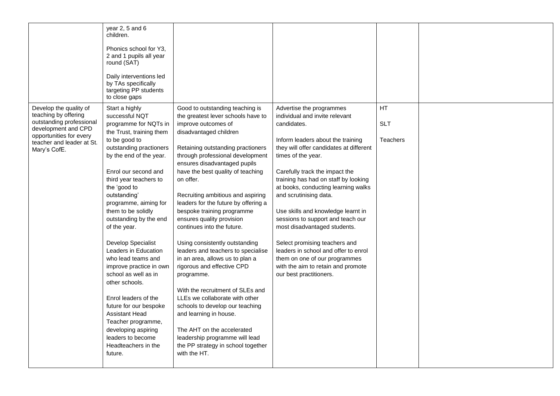|                                                                                                                                                                           | year 2, 5 and 6<br>children.<br>Phonics school for Y3.<br>2 and 1 pupils all year<br>round (SAT)<br>Daily interventions led<br>by TAs specifically<br>targeting PP students<br>to close gaps                                                                                                                                                                                                                                                                                                                                                                                                                                                             |                                                                                                                                                                                                                                                                                                                                                                                                                                                                                                                                                                                                                                                                                                                                                                                                                                                                         |                                                                                                                                                                                                                                                                                                                                                                                                                                                                                                                                                                                                                  |                                            |  |
|---------------------------------------------------------------------------------------------------------------------------------------------------------------------------|----------------------------------------------------------------------------------------------------------------------------------------------------------------------------------------------------------------------------------------------------------------------------------------------------------------------------------------------------------------------------------------------------------------------------------------------------------------------------------------------------------------------------------------------------------------------------------------------------------------------------------------------------------|-------------------------------------------------------------------------------------------------------------------------------------------------------------------------------------------------------------------------------------------------------------------------------------------------------------------------------------------------------------------------------------------------------------------------------------------------------------------------------------------------------------------------------------------------------------------------------------------------------------------------------------------------------------------------------------------------------------------------------------------------------------------------------------------------------------------------------------------------------------------------|------------------------------------------------------------------------------------------------------------------------------------------------------------------------------------------------------------------------------------------------------------------------------------------------------------------------------------------------------------------------------------------------------------------------------------------------------------------------------------------------------------------------------------------------------------------------------------------------------------------|--------------------------------------------|--|
| Develop the quality of<br>teaching by offering<br>outstanding professional<br>development and CPD<br>opportunities for every<br>teacher and leader at St.<br>Mary's CofE. | Start a highly<br>successful NQT<br>programme for NQTs in<br>the Trust, training them<br>to be good to<br>outstanding practioners<br>by the end of the year.<br>Enrol our second and<br>third year teachers to<br>the 'good to<br>outstanding'<br>programme, aiming for<br>them to be solidly<br>outstanding by the end<br>of the year.<br>Develop Specialist<br>Leaders in Education<br>who lead teams and<br>improve practice in own<br>school as well as in<br>other schools.<br>Enrol leaders of the<br>future for our bespoke<br>Assistant Head<br>Teacher programme,<br>developing aspiring<br>leaders to become<br>Headteachers in the<br>future. | Good to outstanding teaching is<br>the greatest lever schools have to<br>improve outcomes of<br>disadvantaged children<br>Retaining outstanding practioners<br>through professional development<br>ensures disadvantaged pupils<br>have the best quality of teaching<br>on offer.<br>Recruiting ambitious and aspiring<br>leaders for the future by offering a<br>bespoke training programme<br>ensures quality provision<br>continues into the future.<br>Using consistently outstanding<br>leaders and teachers to specialise<br>in an area, allows us to plan a<br>rigorous and effective CPD<br>programme.<br>With the recruitment of SLEs and<br>LLEs we collaborate with other<br>schools to develop our teaching<br>and learning in house.<br>The AHT on the accelerated<br>leadership programme will lead<br>the PP strategy in school together<br>with the HT. | Advertise the programmes<br>individual and invite relevant<br>candidates.<br>Inform leaders about the training<br>they will offer candidates at different<br>times of the year.<br>Carefully track the impact the<br>training has had on staff by looking<br>at books, conducting learning walks<br>and scrutinising data.<br>Use skills and knowledge learnt in<br>sessions to support and teach our<br>most disadvantaged students.<br>Select promising teachers and<br>leaders in school and offer to enrol<br>them on one of our programmes<br>with the aim to retain and promote<br>our best practitioners. | <b>HT</b><br><b>SLT</b><br><b>Teachers</b> |  |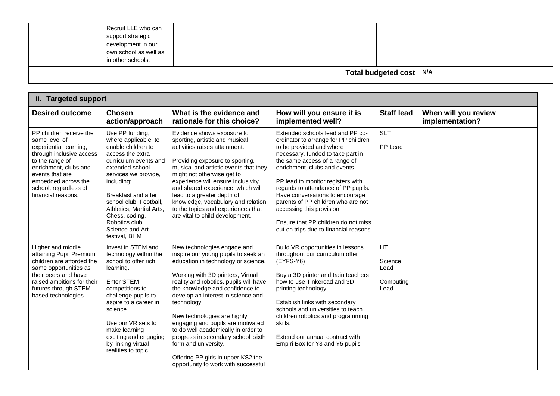| Total budgeted cost   N/A                                                                                    |  |
|--------------------------------------------------------------------------------------------------------------|--|
| Recruit LLE who can<br>support strategic<br>development in our<br>own school as well as<br>in other schools. |  |

| <b>Desired outcome</b>                                                                                                                                                                                                              | <b>Chosen</b><br>action/approach                                                                                                                                                                                                                                                                                        | What is the evidence and<br>rationale for this choice?                                                                                                                                                                                                                                                                                                                                                                                                                                                                                  | How will you ensure it is<br>implemented well?                                                                                                                                                                                                                                                                                                                                                                                                                                 | <b>Staff lead</b>                                 | When will you review<br>implementation? |
|-------------------------------------------------------------------------------------------------------------------------------------------------------------------------------------------------------------------------------------|-------------------------------------------------------------------------------------------------------------------------------------------------------------------------------------------------------------------------------------------------------------------------------------------------------------------------|-----------------------------------------------------------------------------------------------------------------------------------------------------------------------------------------------------------------------------------------------------------------------------------------------------------------------------------------------------------------------------------------------------------------------------------------------------------------------------------------------------------------------------------------|--------------------------------------------------------------------------------------------------------------------------------------------------------------------------------------------------------------------------------------------------------------------------------------------------------------------------------------------------------------------------------------------------------------------------------------------------------------------------------|---------------------------------------------------|-----------------------------------------|
| PP children receive the<br>same level of<br>experiential learning,<br>through inclusive access<br>to the range of<br>enrichment, clubs and<br>events that are<br>embedded across the<br>school, regardless of<br>financial reasons. | Use PP funding,<br>where applicable, to<br>enable children to<br>access the extra<br>curriculum events and<br>extended school<br>services we provide,<br>including:<br>Breakfast and after<br>school club, Football,<br>Athletics, Martial Arts,<br>Chess, coding,<br>Robotics club<br>Science and Art<br>festival, BHM | Evidence shows exposure to<br>sporting, artistic and musical<br>activities raises attainment.<br>Providing exposure to sporting,<br>musical and artistic events that they<br>might not otherwise get to<br>experience will ensure inclusivity<br>and shared experience, which will<br>lead to a greater depth of<br>knowledge, vocabulary and relation<br>to the topics and experiences that<br>are vital to child development.                                                                                                         | Extended schools lead and PP co-<br>ordinator to arrange for PP children<br>to be provided and where<br>necessary, funded to take part in<br>the same access of a range of<br>enrichment, clubs and events.<br>PP lead to monitor registers with<br>regards to attendance of PP pupils.<br>Have conversations to encourage<br>parents of PP children who are not<br>accessing this provision.<br>Ensure that PP children do not miss<br>out on trips due to financial reasons. | <b>SLT</b><br>PP Lead                             |                                         |
| Higher and middle<br>attaining Pupil Premium<br>children are afforded the<br>same opportunities as<br>their peers and have<br>raised ambitions for their<br>futures through STEM<br>based technologies                              | Invest in STEM and<br>technology within the<br>school to offer rich<br>learning.<br>Enter STEM<br>competitions to<br>challenge pupils to<br>aspire to a career in<br>science.<br>Use our VR sets to<br>make learning<br>exciting and engaging<br>by linking virtual<br>realities to topic.                              | New technologies engage and<br>inspire our young pupils to seek an<br>education in technology or science.<br>Working with 3D printers, Virtual<br>reality and robotics, pupils will have<br>the knowledge and confidence to<br>develop an interest in science and<br>technology.<br>New technologies are highly<br>engaging and pupils are motivated<br>to do well academically in order to<br>progress in secondary school, sixth<br>form and university.<br>Offering PP girls in upper KS2 the<br>opportunity to work with successful | Build VR opportunities in lessons<br>throughout our curriculum offer<br>(EYFS-Y6)<br>Buy a 3D printer and train teachers<br>how to use Tinkercad and 3D<br>printing technology.<br>Establish links with secondary<br>schools and universities to teach<br>children robotics and programming<br>skills.<br>Extend our annual contract with<br>Empiri Box for Y3 and Y5 pupils                                                                                                   | <b>HT</b><br>Science<br>Lead<br>Computing<br>Lead |                                         |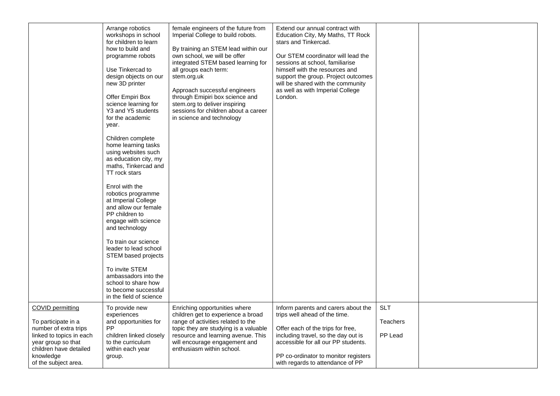| COVID permitting                                                                                                                                              | Arrange robotics<br>workshops in school<br>for children to learn<br>how to build and<br>programme robots<br>Use Tinkercad to<br>design objects on our<br>new 3D printer<br>Offer Empiri Box<br>science learning for<br>Y3 and Y5 students<br>for the academic<br>year.<br>Children complete<br>home learning tasks<br>using websites such<br>as education city, my<br>maths, Tinkercad and<br>TT rock stars<br>Enrol with the<br>robotics programme<br>at Imperial College<br>and allow our female<br>PP children to<br>engage with science<br>and technology<br>To train our science<br>leader to lead school<br>STEM based projects<br>To invite STEM<br>ambassadors into the<br>school to share how<br>to become successful<br>in the field of science<br>To provide new | female engineers of the future from<br>Imperial College to build robots.<br>By training an STEM lead within our<br>own school, we will be offer<br>integrated STEM based learning for<br>all groups each term:<br>stem.org.uk<br>Approach successful engineers<br>through Emipiri box science and<br>stem.org to deliver inspiring<br>sessions for children about a career<br>in science and technology<br>Enriching opportunities where | Extend our annual contract with<br>Education City, My Maths, TT Rock<br>stars and Tinkercad.<br>Our STEM coordinator will lead the<br>sessions at school, familiarise<br>himself with the resources and<br>support the group. Project outcomes<br>will be shared with the community<br>as well as with Imperial College<br>London.<br>Inform parents and carers about the | <b>SLT</b>                 |  |
|---------------------------------------------------------------------------------------------------------------------------------------------------------------|-----------------------------------------------------------------------------------------------------------------------------------------------------------------------------------------------------------------------------------------------------------------------------------------------------------------------------------------------------------------------------------------------------------------------------------------------------------------------------------------------------------------------------------------------------------------------------------------------------------------------------------------------------------------------------------------------------------------------------------------------------------------------------|------------------------------------------------------------------------------------------------------------------------------------------------------------------------------------------------------------------------------------------------------------------------------------------------------------------------------------------------------------------------------------------------------------------------------------------|---------------------------------------------------------------------------------------------------------------------------------------------------------------------------------------------------------------------------------------------------------------------------------------------------------------------------------------------------------------------------|----------------------------|--|
| To participate in a<br>number of extra trips<br>linked to topics in each<br>year group so that<br>children have detailed<br>knowledge<br>of the subject area. | experiences<br>and opportunities for<br>PP<br>children linked closely<br>to the curriculum<br>within each year<br>group.                                                                                                                                                                                                                                                                                                                                                                                                                                                                                                                                                                                                                                                    | children get to experience a broad<br>range of activities related to the<br>topic they are studying is a valuable<br>resource and learning avenue. This<br>will encourage engagement and<br>enthusiasm within school.                                                                                                                                                                                                                    | trips well ahead of the time.<br>Offer each of the trips for free,<br>including travel, so the day out is<br>accessible for all our PP students.<br>PP co-ordinator to monitor registers<br>with regards to attendance of PP                                                                                                                                              | <b>Teachers</b><br>PP Lead |  |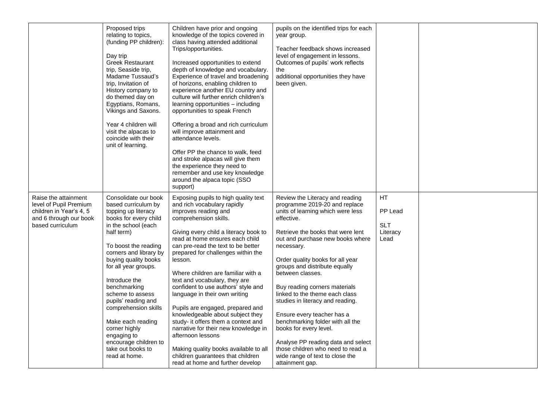|                                                                                                                         | Proposed trips<br>relating to topics,<br>(funding PP children):<br>Day trip<br><b>Greek Restaurant</b><br>trip, Seaside trip,<br>Madame Tussaud's<br>trip, Invitation of<br>History company to<br>do themed day on<br>Egyptians, Romans,<br>Vikings and Saxons.<br>Year 4 children will<br>visit the alpacas to<br>coincide with their<br>unit of learning.                                                                                                | Children have prior and ongoing<br>knowledge of the topics covered in<br>class having attended additional<br>Trips/opportunities.<br>Increased opportunities to extend<br>depth of knowledge and vocabulary.<br>Experience of travel and broadening<br>of horizons, enabling children to<br>experience another EU country and<br>culture will further enrich children's<br>learning opportunities - including<br>opportunities to speak French<br>Offering a broad and rich curriculum<br>will improve attainment and<br>attendance levels.<br>Offer PP the chance to walk, feed<br>and stroke alpacas will give them<br>the experience they need to<br>remember and use key knowledge<br>around the alpaca topic (SSO<br>support)   | pupils on the identified trips for each<br>year group.<br>Teacher feedback shows increased<br>level of engagement in lessons.<br>Outcomes of pupils' work reflects<br>the<br>additional opportunities they have<br>been given.                                                                                                                                                                                                                                                                                                                                                                                                          |                                                  |  |
|-------------------------------------------------------------------------------------------------------------------------|------------------------------------------------------------------------------------------------------------------------------------------------------------------------------------------------------------------------------------------------------------------------------------------------------------------------------------------------------------------------------------------------------------------------------------------------------------|--------------------------------------------------------------------------------------------------------------------------------------------------------------------------------------------------------------------------------------------------------------------------------------------------------------------------------------------------------------------------------------------------------------------------------------------------------------------------------------------------------------------------------------------------------------------------------------------------------------------------------------------------------------------------------------------------------------------------------------|-----------------------------------------------------------------------------------------------------------------------------------------------------------------------------------------------------------------------------------------------------------------------------------------------------------------------------------------------------------------------------------------------------------------------------------------------------------------------------------------------------------------------------------------------------------------------------------------------------------------------------------------|--------------------------------------------------|--|
| Raise the attainment<br>level of Pupil Premium<br>children in Year's 4, 5<br>and 6 through our book<br>based curriculum | Consolidate our book<br>based curriculum by<br>topping up literacy<br>books for every child<br>in the school (each<br>half term)<br>To boost the reading<br>corners and library by<br>buying quality books<br>for all year groups.<br>Introduce the<br>benchmarking<br>scheme to assess<br>pupils' reading and<br>comprehension skills<br>Make each reading<br>corner highly<br>engaging to<br>encourage children to<br>take out books to<br>read at home. | Exposing pupils to high quality text<br>and rich vocabulary rapidly<br>improves reading and<br>comprehension skills.<br>Giving every child a literacy book to<br>read at home ensures each child<br>can pre-read the text to be better<br>prepared for challenges within the<br>lesson.<br>Where children are familiar with a<br>text and vocabulary, they are<br>confident to use authors' style and<br>language in their own writing<br>Pupils are engaged, prepared and<br>knowledgeable about subject they<br>study- it offers them a context and<br>narrative for their new knowledge in<br>afternoon lessons<br>Making quality books available to all<br>children guarantees that children<br>read at home and further develop | Review the Literacy and reading<br>programme 2019-20 and replace<br>units of learning which were less<br>effective.<br>Retrieve the books that were lent<br>out and purchase new books where<br>necessary.<br>Order quality books for all year<br>groups and distribute equally<br>between classes.<br>Buy reading corners materials<br>linked to the theme each class<br>studies in literacy and reading.<br>Ensure every teacher has a<br>benchmarking folder with all the<br>books for every level.<br>Analyse PP reading data and select<br>those children who need to read a<br>wide range of text to close the<br>attainment gap. | HT.<br>PP Lead<br><b>SLT</b><br>Literacy<br>Lead |  |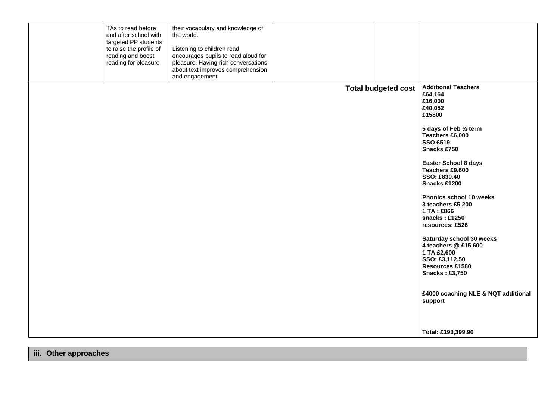| TAs to read before<br>their vocabulary and knowledge of<br>and after school with<br>the world.<br>targeted PP students<br>to raise the profile of<br>Listening to children read<br>encourages pupils to read aloud for<br>reading and boost<br>reading for pleasure<br>pleasure. Having rich conversations<br>about text improves comprehension<br>and engagement |                            |                                                                                                                                                                                                                                                                                                                                                                                                                                                                                                                                                   |
|-------------------------------------------------------------------------------------------------------------------------------------------------------------------------------------------------------------------------------------------------------------------------------------------------------------------------------------------------------------------|----------------------------|---------------------------------------------------------------------------------------------------------------------------------------------------------------------------------------------------------------------------------------------------------------------------------------------------------------------------------------------------------------------------------------------------------------------------------------------------------------------------------------------------------------------------------------------------|
|                                                                                                                                                                                                                                                                                                                                                                   | <b>Total budgeted cost</b> | <b>Additional Teachers</b><br>£64,164<br>£16,000<br>£40,052<br>£15800<br>5 days of Feb 1/2 term<br>Teachers £6,000<br><b>SSO £519</b><br>Snacks £750<br><b>Easter School 8 days</b><br>Teachers £9,600<br>SSO: £830.40<br>Snacks £1200<br>Phonics school 10 weeks<br>3 teachers £5,200<br>1 TA: £866<br>snacks: £1250<br>resources: £526<br>Saturday school 30 weeks<br>4 teachers @ £15,600<br>1 TA £2,600<br>SSO: £3,112.50<br>Resources £1580<br><b>Snacks: £3,750</b><br>£4000 coaching NLE & NQT additional<br>support<br>Total: £193,399.90 |

**iii. Other approaches**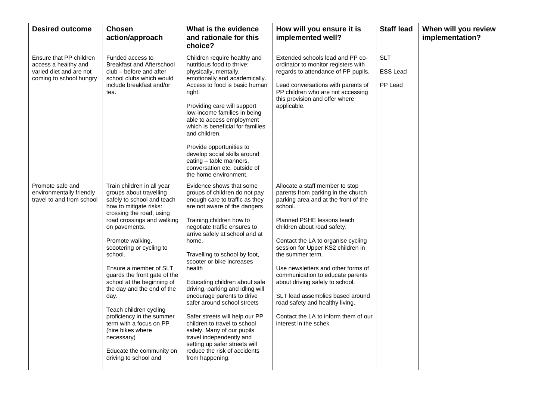| <b>Desired outcome</b>                                                                                | <b>Chosen</b><br>action/approach                                                                                                                                                                                                                                                                                                                                                                                                                                                                                                                            | What is the evidence<br>and rationale for this<br>choice?                                                                                                                                                                                                                                                                                                                                                                                                                                                                                                                                                                                                    | How will you ensure it is<br>implemented well?                                                                                                                                                                                                                                                                                                                                                                                                                                                                                            | <b>Staff lead</b>                        | When will you review<br>implementation? |
|-------------------------------------------------------------------------------------------------------|-------------------------------------------------------------------------------------------------------------------------------------------------------------------------------------------------------------------------------------------------------------------------------------------------------------------------------------------------------------------------------------------------------------------------------------------------------------------------------------------------------------------------------------------------------------|--------------------------------------------------------------------------------------------------------------------------------------------------------------------------------------------------------------------------------------------------------------------------------------------------------------------------------------------------------------------------------------------------------------------------------------------------------------------------------------------------------------------------------------------------------------------------------------------------------------------------------------------------------------|-------------------------------------------------------------------------------------------------------------------------------------------------------------------------------------------------------------------------------------------------------------------------------------------------------------------------------------------------------------------------------------------------------------------------------------------------------------------------------------------------------------------------------------------|------------------------------------------|-----------------------------------------|
| Ensure that PP children<br>access a healthy and<br>varied diet and are not<br>coming to school hungry | Funded access to<br><b>Breakfast and Afterschool</b><br>club – before and after<br>school clubs which would<br>include breakfast and/or<br>tea.                                                                                                                                                                                                                                                                                                                                                                                                             | Children require healthy and<br>nutritious food to thrive:<br>physically, mentally,<br>emotionally and academically.<br>Access to food is basic human<br>right.<br>Providing care will support<br>low-income families in being<br>able to access employment<br>which is beneficial for families<br>and children.<br>Provide opportunities to<br>develop social skills around<br>eating - table manners,<br>conversation etc. outside of<br>the home environment.                                                                                                                                                                                             | Extended schools lead and PP co-<br>ordinator to monitor registers with<br>regards to attendance of PP pupils.<br>Lead conversations with parents of<br>PP children who are not accessing<br>this provision and offer where<br>applicable.                                                                                                                                                                                                                                                                                                | <b>SLT</b><br><b>ESS Lead</b><br>PP Lead |                                         |
| Promote safe and<br>environmentally friendly<br>travel to and from school                             | Train children in all year<br>groups about travelling<br>safely to school and teach<br>how to mitigate risks:<br>crossing the road, using<br>road crossings and walking<br>on pavements.<br>Promote walking,<br>scootering or cycling to<br>school.<br>Ensure a member of SLT<br>guards the front gate of the<br>school at the beginning of<br>the day and the end of the<br>day.<br>Teach children cycling<br>proficiency in the summer<br>term with a focus on PP<br>(hire bikes where<br>necessary)<br>Educate the community on<br>driving to school and | Evidence shows that some<br>groups of children do not pay<br>enough care to traffic as they<br>are not aware of the dangers<br>Training children how to<br>negotiate traffic ensures to<br>arrive safely at school and at<br>home.<br>Travelling to school by foot,<br>scooter or bike increases<br>health<br>Educating children about safe<br>driving, parking and idling will<br>encourage parents to drive<br>safer around school streets<br>Safer streets will help our PP<br>children to travel to school<br>safely. Many of our pupils<br>travel independently and<br>setting up safer streets will<br>reduce the risk of accidents<br>from happening. | Allocate a staff member to stop<br>parents from parking in the church<br>parking area and at the front of the<br>school.<br>Planned PSHE lessons teach<br>children about road safety.<br>Contact the LA to organise cycling<br>session for Upper KS2 children in<br>the summer term.<br>Use newsletters and other forms of<br>communication to educate parents<br>about driving safely to school.<br>SLT lead assemblies based around<br>road safety and healthy living.<br>Contact the LA to inform them of our<br>interest in the schek |                                          |                                         |